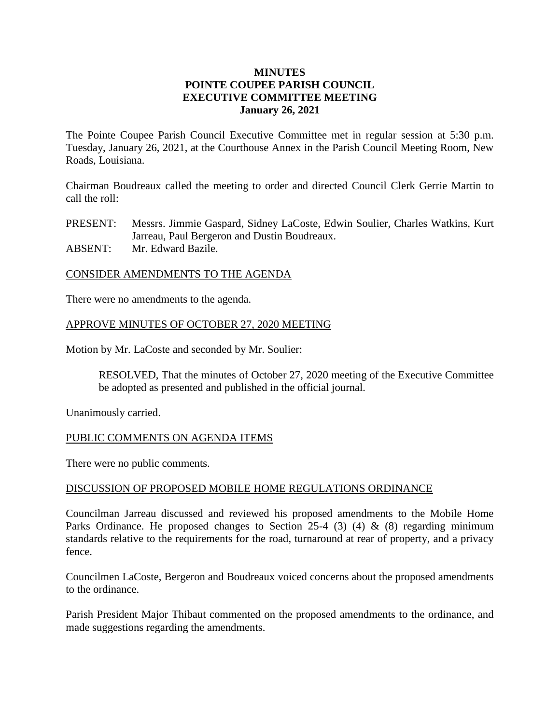# **MINUTES POINTE COUPEE PARISH COUNCIL EXECUTIVE COMMITTEE MEETING January 26, 2021**

The Pointe Coupee Parish Council Executive Committee met in regular session at 5:30 p.m. Tuesday, January 26, 2021, at the Courthouse Annex in the Parish Council Meeting Room, New Roads, Louisiana.

Chairman Boudreaux called the meeting to order and directed Council Clerk Gerrie Martin to call the roll:

PRESENT: Messrs. Jimmie Gaspard, Sidney LaCoste, Edwin Soulier, Charles Watkins, Kurt Jarreau, Paul Bergeron and Dustin Boudreaux.

ABSENT: Mr. Edward Bazile.

## CONSIDER AMENDMENTS TO THE AGENDA

There were no amendments to the agenda.

## APPROVE MINUTES OF OCTOBER 27, 2020 MEETING

Motion by Mr. LaCoste and seconded by Mr. Soulier:

RESOLVED, That the minutes of October 27, 2020 meeting of the Executive Committee be adopted as presented and published in the official journal.

Unanimously carried.

## PUBLIC COMMENTS ON AGENDA ITEMS

There were no public comments.

### DISCUSSION OF PROPOSED MOBILE HOME REGULATIONS ORDINANCE

Councilman Jarreau discussed and reviewed his proposed amendments to the Mobile Home Parks Ordinance. He proposed changes to Section 25-4 (3) (4)  $\&$  (8) regarding minimum standards relative to the requirements for the road, turnaround at rear of property, and a privacy fence.

Councilmen LaCoste, Bergeron and Boudreaux voiced concerns about the proposed amendments to the ordinance.

Parish President Major Thibaut commented on the proposed amendments to the ordinance, and made suggestions regarding the amendments.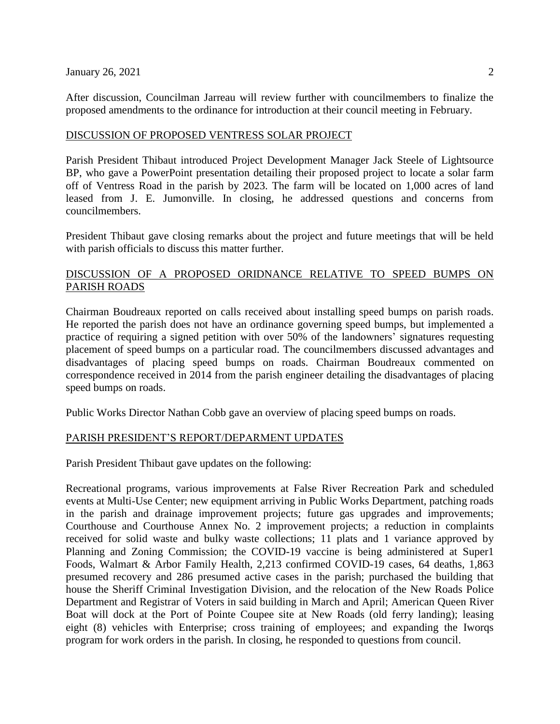#### January 26, 2021 2

After discussion, Councilman Jarreau will review further with councilmembers to finalize the proposed amendments to the ordinance for introduction at their council meeting in February.

### DISCUSSION OF PROPOSED VENTRESS SOLAR PROJECT

Parish President Thibaut introduced Project Development Manager Jack Steele of Lightsource BP, who gave a PowerPoint presentation detailing their proposed project to locate a solar farm off of Ventress Road in the parish by 2023. The farm will be located on 1,000 acres of land leased from J. E. Jumonville. In closing, he addressed questions and concerns from councilmembers.

President Thibaut gave closing remarks about the project and future meetings that will be held with parish officials to discuss this matter further.

# DISCUSSION OF A PROPOSED ORIDNANCE RELATIVE TO SPEED BUMPS ON PARISH ROADS

Chairman Boudreaux reported on calls received about installing speed bumps on parish roads. He reported the parish does not have an ordinance governing speed bumps, but implemented a practice of requiring a signed petition with over 50% of the landowners' signatures requesting placement of speed bumps on a particular road. The councilmembers discussed advantages and disadvantages of placing speed bumps on roads. Chairman Boudreaux commented on correspondence received in 2014 from the parish engineer detailing the disadvantages of placing speed bumps on roads.

Public Works Director Nathan Cobb gave an overview of placing speed bumps on roads.

## PARISH PRESIDENT'S REPORT/DEPARMENT UPDATES

Parish President Thibaut gave updates on the following:

Recreational programs, various improvements at False River Recreation Park and scheduled events at Multi-Use Center; new equipment arriving in Public Works Department, patching roads in the parish and drainage improvement projects; future gas upgrades and improvements; Courthouse and Courthouse Annex No. 2 improvement projects; a reduction in complaints received for solid waste and bulky waste collections; 11 plats and 1 variance approved by Planning and Zoning Commission; the COVID-19 vaccine is being administered at Super1 Foods, Walmart & Arbor Family Health, 2,213 confirmed COVID-19 cases, 64 deaths, 1,863 presumed recovery and 286 presumed active cases in the parish; purchased the building that house the Sheriff Criminal Investigation Division, and the relocation of the New Roads Police Department and Registrar of Voters in said building in March and April; American Queen River Boat will dock at the Port of Pointe Coupee site at New Roads (old ferry landing); leasing eight (8) vehicles with Enterprise; cross training of employees; and expanding the Iworqs program for work orders in the parish. In closing, he responded to questions from council.